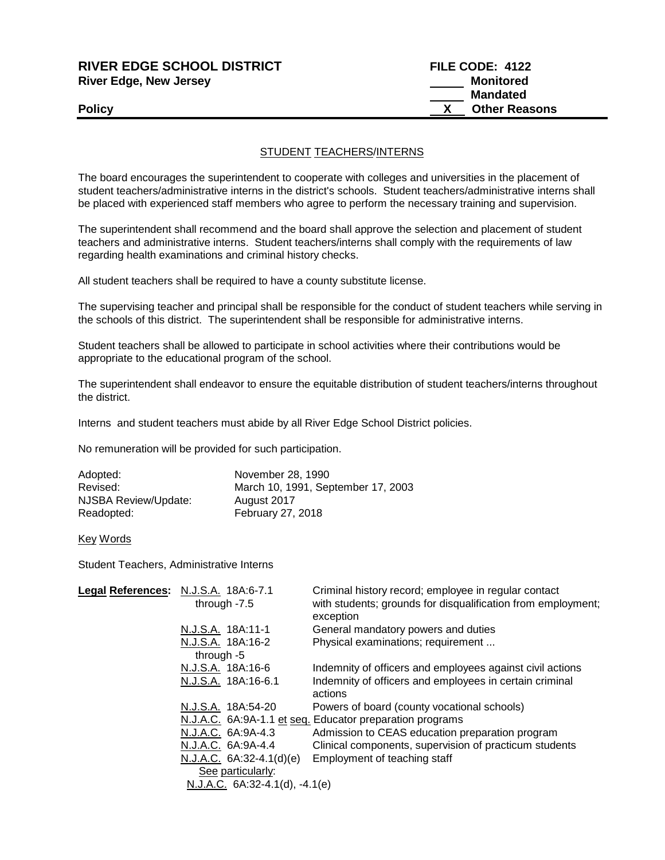| <b>RIVER EDGE SCHOOL DISTRICT</b> | <b>FILE CODE: 4122</b> |
|-----------------------------------|------------------------|
| <b>River Edge, New Jersey</b>     | Monitored              |
|                                   | Mandated               |
| <b>Policy</b>                     | <b>Other Reasons</b>   |
|                                   |                        |

## STUDENT TEACHERS/INTERNS

The board encourages the superintendent to cooperate with colleges and universities in the placement of student teachers/administrative interns in the district's schools. Student teachers/administrative interns shall be placed with experienced staff members who agree to perform the necessary training and supervision.

The superintendent shall recommend and the board shall approve the selection and placement of student teachers and administrative interns. Student teachers/interns shall comply with the requirements of law regarding health examinations and criminal history checks.

All student teachers shall be required to have a county substitute license.

The supervising teacher and principal shall be responsible for the conduct of student teachers while serving in the schools of this district. The superintendent shall be responsible for administrative interns.

Student teachers shall be allowed to participate in school activities where their contributions would be appropriate to the educational program of the school.

The superintendent shall endeavor to ensure the equitable distribution of student teachers/interns throughout the district.

Interns and student teachers must abide by all River Edge School District policies.

No remuneration will be provided for such participation.

| Adopted:             | November 28, 1990                  |
|----------------------|------------------------------------|
| Revised:             | March 10, 1991, September 17, 2003 |
| NJSBA Review/Update: | August 2017                        |
| Readopted:           | <b>February 27, 2018</b>           |

Key Words

Student Teachers, Administrative Interns

| Legal References: N.J.S.A. 18A:6-7.1 |                |                                     | Criminal history record; employee in regular contact         |
|--------------------------------------|----------------|-------------------------------------|--------------------------------------------------------------|
|                                      | through $-7.5$ |                                     | with students; grounds for disqualification from employment; |
|                                      |                |                                     | exception                                                    |
|                                      |                | N.J.S.A. 18A:11-1                   | General mandatory powers and duties                          |
|                                      |                | N.J.S.A. 18A:16-2                   | Physical examinations; requirement                           |
|                                      | through $-5$   |                                     |                                                              |
|                                      |                | N.J.S.A. 18A:16-6                   | Indemnity of officers and employees against civil actions    |
|                                      |                | N.J.S.A. 18A:16-6.1                 | Indemnity of officers and employees in certain criminal      |
|                                      |                |                                     | actions                                                      |
|                                      |                | N.J.S.A. 18A:54-20                  | Powers of board (county vocational schools)                  |
|                                      |                |                                     | N.J.A.C. 6A:9A-1.1 et seq. Educator preparation programs     |
|                                      |                | N.J.A.C. 6A:9A-4.3                  | Admission to CEAS education preparation program              |
|                                      |                | N.J.A.C. 6A:9A-4.4                  | Clinical components, supervision of practicum students       |
|                                      |                | $N.J.A.C. 6A:32-4.1(d)(e)$          | Employment of teaching staff                                 |
|                                      |                | See particularly:                   |                                                              |
|                                      |                | N.J.A.C. $6A:32-4.1(d)$ , $-4.1(e)$ |                                                              |
|                                      |                |                                     |                                                              |